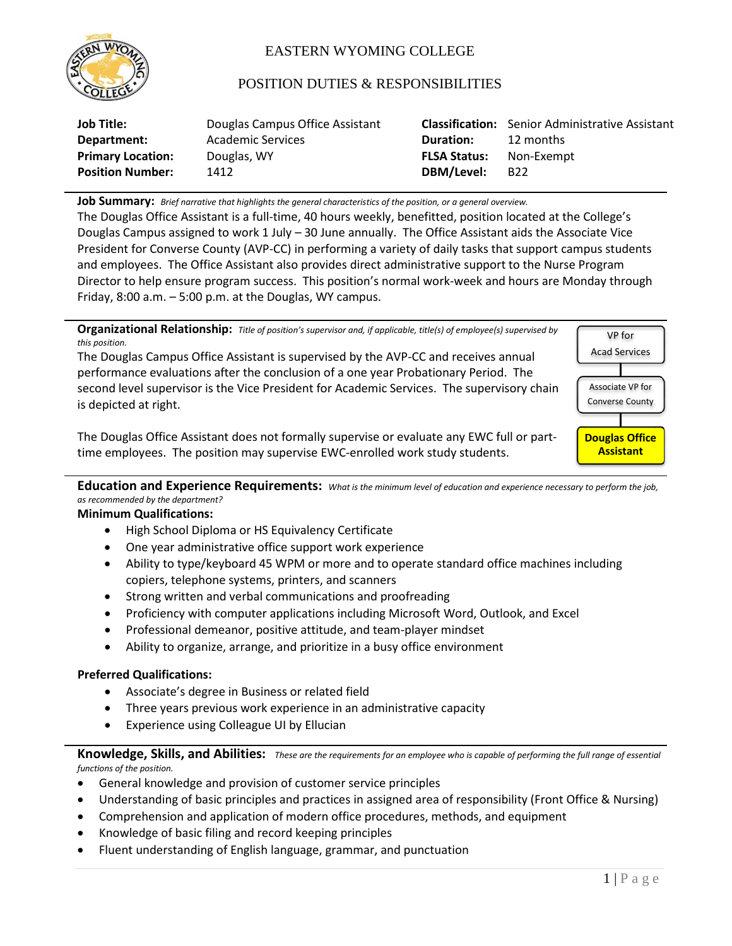

# EASTERN WYOMING COLLEGE

## POSITION DUTIES & RESPONSIBILITIES

| <b>Job Title:</b>        | Douglas Campus Office Assistant |                     | <b>Classification:</b> Senior Administrative Assistant |
|--------------------------|---------------------------------|---------------------|--------------------------------------------------------|
| Department:              | Academic Services               | Duration:           | 12 months                                              |
| <b>Primary Location:</b> | Douglas, WY                     | <b>FLSA Status:</b> | Non-Exempt                                             |
| <b>Position Number:</b>  | 1412                            | DBM/Level:          | <b>B22</b>                                             |

**Job Summary:** *Brief narrative that highlights the general characteristics of the position, or a general overview.*

The Douglas Office Assistant is a full-time, 40 hours weekly, benefitted, position located at the College's Douglas Campus assigned to work 1 July – 30 June annually. The Office Assistant aids the Associate Vice President for Converse County (AVP-CC) in performing a variety of daily tasks that support campus students and employees. The Office Assistant also provides direct administrative support to the Nurse Program Director to help ensure program success. This position's normal work-week and hours are Monday through Friday, 8:00 a.m. – 5:00 p.m. at the Douglas, WY campus.



**Education and Experience Requirements:** *What is the minimum level of education and experience necessary to perform the job, as recommended by the department?*

#### **Minimum Qualifications:**

- High School Diploma or HS Equivalency Certificate
- One year administrative office support work experience
- Ability to type/keyboard 45 WPM or more and to operate standard office machines including copiers, telephone systems, printers, and scanners
- Strong written and verbal communications and proofreading
- Proficiency with computer applications including Microsoft Word, Outlook, and Excel
- Professional demeanor, positive attitude, and team-player mindset
- Ability to organize, arrange, and prioritize in a busy office environment

#### **Preferred Qualifications:**

- Associate's degree in Business or related field
- Three years previous work experience in an administrative capacity
- Experience using Colleague UI by Ellucian

**Knowledge, Skills, and Abilities:** *These are the requirements for an employee who is capable of performing the full range of essential functions of the position.*

- General knowledge and provision of customer service principles
- Understanding of basic principles and practices in assigned area of responsibility (Front Office & Nursing)
- Comprehension and application of modern office procedures, methods, and equipment
- Knowledge of basic filing and record keeping principles
- Fluent understanding of English language, grammar, and punctuation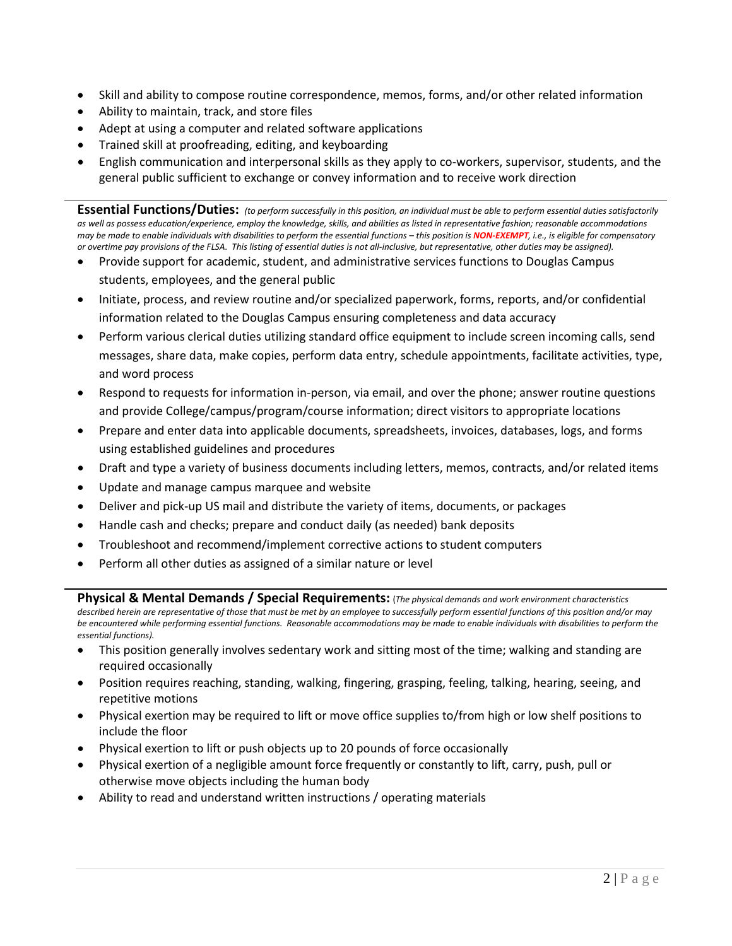- Skill and ability to compose routine correspondence, memos, forms, and/or other related information
- Ability to maintain, track, and store files
- Adept at using a computer and related software applications
- Trained skill at proofreading, editing, and keyboarding
- English communication and interpersonal skills as they apply to co-workers, supervisor, students, and the general public sufficient to exchange or convey information and to receive work direction

**Essential Functions/Duties:** *(to perform successfully in this position, an individual must be able to perform essential duties satisfactorily*  as well as possess education/experience, employ the knowledge, skills, and abilities as listed in representative fashion; reasonable accommodations *may be made to enable individuals with disabilities to perform the essential functions – this position is NON-EXEMPT, i.e., is eligible for compensatory or overtime pay provisions of the FLSA. This listing of essential duties is not all-inclusive, but representative, other duties may be assigned).*

- Provide support for academic, student, and administrative services functions to Douglas Campus students, employees, and the general public
- Initiate, process, and review routine and/or specialized paperwork, forms, reports, and/or confidential information related to the Douglas Campus ensuring completeness and data accuracy
- Perform various clerical duties utilizing standard office equipment to include screen incoming calls, send messages, share data, make copies, perform data entry, schedule appointments, facilitate activities, type, and word process
- Respond to requests for information in-person, via email, and over the phone; answer routine questions and provide College/campus/program/course information; direct visitors to appropriate locations
- Prepare and enter data into applicable documents, spreadsheets, invoices, databases, logs, and forms using established guidelines and procedures
- Draft and type a variety of business documents including letters, memos, contracts, and/or related items
- Update and manage campus marquee and website
- Deliver and pick-up US mail and distribute the variety of items, documents, or packages
- Handle cash and checks; prepare and conduct daily (as needed) bank deposits
- Troubleshoot and recommend/implement corrective actions to student computers
- Perform all other duties as assigned of a similar nature or level

**Physical & Mental Demands / Special Requirements:** (*The physical demands and work environment characteristics* 

*described herein are representative of those that must be met by an employee to successfully perform essential functions of this position and/or may*  be encountered while performing essential functions. Reasonable accommodations may be made to enable individuals with disabilities to perform the *essential functions).*

- This position generally involves sedentary work and sitting most of the time; walking and standing are required occasionally
- Position requires reaching, standing, walking, fingering, grasping, feeling, talking, hearing, seeing, and repetitive motions
- Physical exertion may be required to lift or move office supplies to/from high or low shelf positions to include the floor
- Physical exertion to lift or push objects up to 20 pounds of force occasionally
- Physical exertion of a negligible amount force frequently or constantly to lift, carry, push, pull or otherwise move objects including the human body
- Ability to read and understand written instructions / operating materials